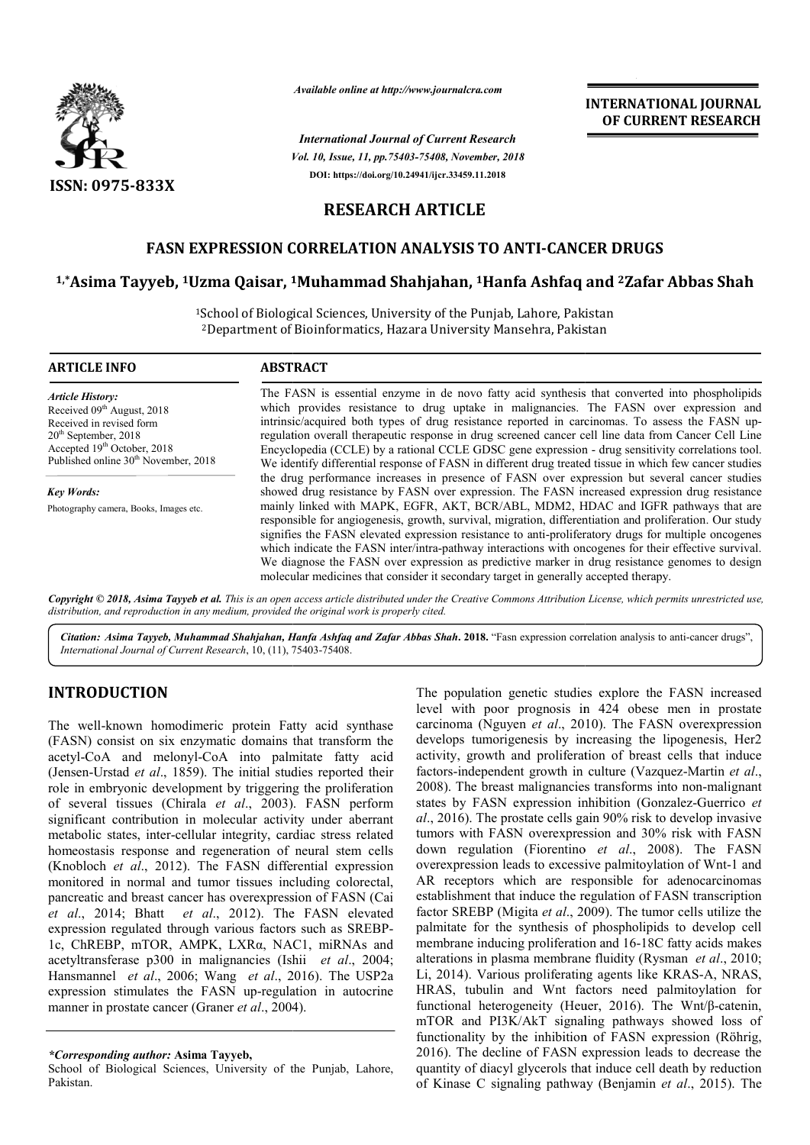

*Available online at http://www.journalcra.com*

*Vol. 10, Issue, 11, pp.75403-75408, November, 2018 International Journal of Current Research* **DOI: https://doi.org/10.24941/ijcr.33459.11.2018**

**INTERNATIONAL JOURNAL OF CURRENT RESEARCH**

## **RESEARCH ARTICLE**

## **FASN EXPRESSION CORRELATION ANALYSIS TO ANTI ANTI-CANCER DRUGS**

# **1,\*Asima Tayyeb, 1Uzma Qaisar, 1 1Muhammad Shahjahan, 1Hanfa Ashfaq and CANCER Hanfa 2Zafar Abbas Shah**

1School of Biological Sciences, University of the Punjab, Lahore, Pakistan School of Biological Sciences, University of the Punjab, Lahore, Pakistan<br><sup>2</sup>Department of Bioinformatics, Hazara University Mansehra, Pakistan

| <b>ARTICLE INFO</b>                                                                                                                                                                                        | <b>ABSTRACT</b>                                                                                                                                                                                                                                                                                                                                                                                                                                                                                                                                                                                                    |  |  |  |  |  |  |  |  |  |
|------------------------------------------------------------------------------------------------------------------------------------------------------------------------------------------------------------|--------------------------------------------------------------------------------------------------------------------------------------------------------------------------------------------------------------------------------------------------------------------------------------------------------------------------------------------------------------------------------------------------------------------------------------------------------------------------------------------------------------------------------------------------------------------------------------------------------------------|--|--|--|--|--|--|--|--|--|
| <b>Article History:</b><br>Received 09th August, 2018<br>Received in revised form<br>$20th$ September, 2018<br>Accepted 19 <sup>th</sup> October, 2018<br>Published online 30 <sup>th</sup> November, 2018 | The FASN is essential enzyme in de novo fatty acid synthesis that converted into phospholipids<br>which provides resistance to drug uptake in malignancies. The FASN over expression and<br>intrinsic/acquired both types of drug resistance reported in carcinomas. To assess the FASN up-<br>regulation overall therapeutic response in drug screened cancer cell line data from Cancer Cell Line<br>Encyclopedia (CCLE) by a rational CCLE GDSC gene expression - drug sensitivity correlations tool.<br>We identify differential response of FASN in different drug treated tissue in which few cancer studies |  |  |  |  |  |  |  |  |  |
| <b>Key Words:</b>                                                                                                                                                                                          | the drug performance increases in presence of FASN over expression but several cancer studies<br>showed drug resistance by FASN over expression. The FASN increased expression drug resistance                                                                                                                                                                                                                                                                                                                                                                                                                     |  |  |  |  |  |  |  |  |  |
| Photography camera, Books, Images etc.                                                                                                                                                                     | mainly linked with MAPK, EGFR, AKT, BCR/ABL, MDM2, HDAC and IGFR pathways that are<br>responsible for angiogenesis, growth, survival, migration, differentiation and proliferation. Our study<br>signifies the FASN elevated expression resistance to anti-proliferatory drugs for multiple oncogenes<br>which indicate the FASN inter/intra-pathway interactions with oncogenes for their effective survival.<br>We diagnose the FASN over expression as predictive marker in drug resistance genomes to design<br>molecular medicines that consider it secondary target in generally accepted therapy.           |  |  |  |  |  |  |  |  |  |

Copyright © 2018, Asima Tayyeb et al. This is an open access article distributed under the Creative Commons Attribution License, which permits unrestricted use, *distribution, and reproduction in any medium, provided the original work is properly cited.*

Citation: Asima Tayyeb, Muhammad Shahjahan, Hanfa Ashfaq and Zafar Abbas Shah. 2018. "Fasn expression correlation analysis to anti-cancer drugs", *International Journal of Current Research*, 10, (11), 75403 75403-75408.

## **INTRODUCTION**

The well-known homodimeric protein Fatty acid synthase (FASN) consist on six enzymatic domains that transform the acetyl-CoA and melonyl-CoA into palmitate fatty acid (Jensen-Urstad *et al*., 1859). The initial studies reported their role in embryonic development by triggering the proliferation of several tissues (Chirala *et al*., 2003). FASN perform significant contribution in molecular activity under aberrant metabolic states, inter-cellular integrity, cardiac stress related homeostasis response and regeneration of neural stem cells (Knobloch *et al*., 2012). The FASN differential expression monitored in normal and tumor tissues including colorectal, pancreatic and breast cancer has overexpression of FASN (Cai *et al*., 2014; Bhatt *et al*., 2012). The FASN eleva expression regulated through various factors such as SREBP-1c, ChREBP, mTOR, AMPK, LXRα, NAC1, miRNAs and acetyltransferase p300 in malignancies (Ishii *et al*., 2004; Hansmannel *et al*., 2006; Wang *et al*., 2016). The USP2a expression stimulates the FASN up-regulation in autocrine manner in prostate cancer (Graner *et al*., 2004). known homodimeric protein Fatty acid synthase<br>onsist on six enzymatic domains that transform the<br>A and melonyl-CoA into palmitate fatty acid<br>rstad *et al.*, 1859). The initial studies reported their<br>bryonic development by

School of Biological Sciences, University of the Punjab, Lahore, Pakistan.

The population genetic studies explore the FASN increased<br>
in Fatty acid synthase<br>
carcinoma (Nguyen *et al.*, 2010). The FASN overexpression<br>
nains that transform the<br>
develops tumorigenesis by increasing the lipogenesis level with poor prognosis in 424 obese men in prostate carcinoma (Nguyen *et al*., 2010). The FASN overexpression develops tumorigenesis by increasing the lipogenesis, Her2 activity, growth and proliferation of breast cells that induce factors-independent growth in culture (Vazquez-Martin et al., 2008). The breast malignancies transforms into non-malignant states by FASN expression inhibition (Gonzalez (Gonzalez-Guerrico *et*  al., 2016). The prostate cells gain 90% risk to develop invasive tumors with FASN overexpression and 30% risk with FASN down regulation (Fiorentino *et al*., 2008). The FASN overexpression leads to excessive palmitoylation of Wnt-1 and AR receptors which are responsible for adenocarcinomas establishment that induce the regulation of FASN transcription factor SREBP (Migita *et al*., 2009). The tumor cells utilize the palmitate for the synthesis of phospholipids to develop cell AR receptors which are responsible for adenocarcinomas establishment that induce the regulation of FASN transcription factor SREBP (Migita *et al.*, 2009). The tumor cells utilize the palmitate for the synthesis of phospho alterations in plasma membrane fluidity (Rysman *et al.*, 2010; Li, 2014). Various proliferating agents like KRAS-A, NRAS, HRAS, tubulin and Wnt factors need palmitoylation for HRAS, tubulin and Wnt factors need palmitoylation for functional heterogeneity (Heuer, 2016). The Wnt/β-catenin, mTOR and PI3K/AkT signaling pathways showed loss of functionality by the inhibition of FASN expression (Röhrig, 2016). The decline of FASN expression leads to decrease the quantity of diacyl glycerols that induce cell death by reduction of Kinase C signaling pathway (Benjamin *et al.*, 2015). The The population genetic studies explore the FASN increased functionality by the inhibition of FASN expression (Röhrig, 2016). The decline of FASN expression leads to decrease the quantity of diacyl glycerols that induce cell death by reduction of Kinase C signaling pathway (Benjam

*<sup>\*</sup>Corresponding author:* **Asima Tayyeb,**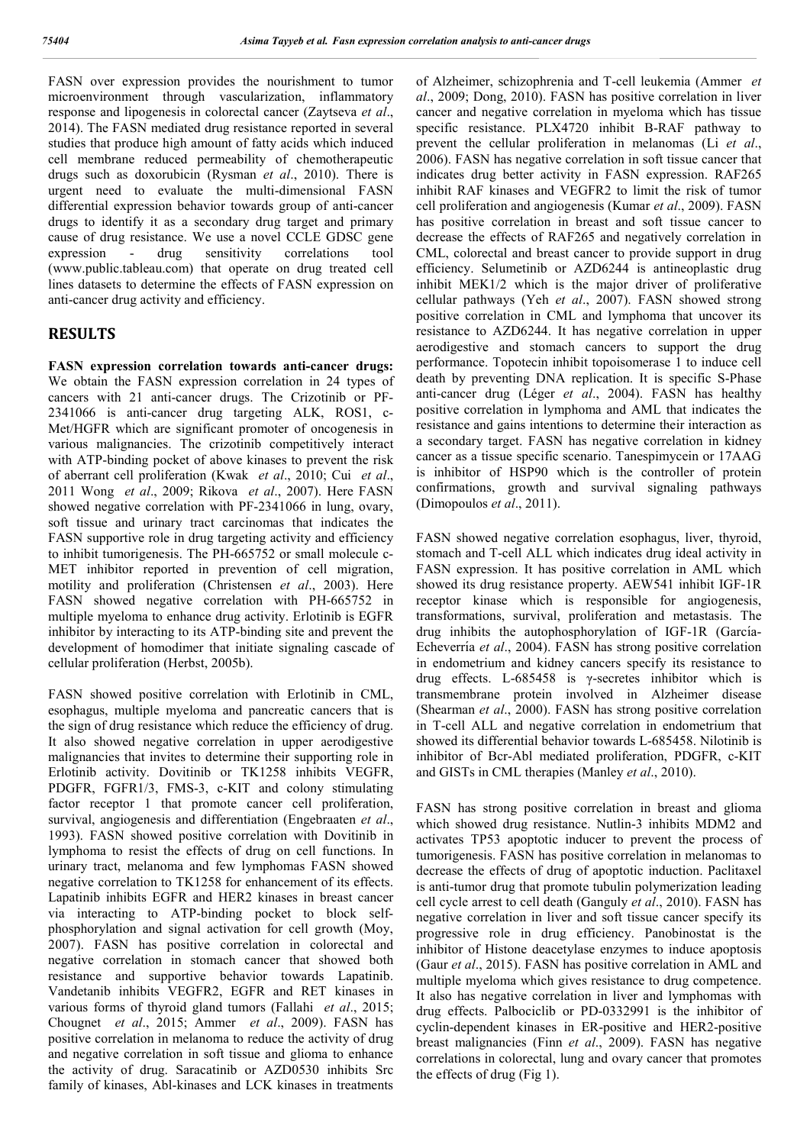FASN over expression provides the nourishment to tumor microenvironment through vascularization, inflammatory response and lipogenesis in colorectal cancer (Zaytseva *et al*., 2014). The FASN mediated drug resistance reported in several studies that produce high amount of fatty acids which induced cell membrane reduced permeability of chemotherapeutic drugs such as doxorubicin (Rysman *et al*., 2010). There is urgent need to evaluate the multi-dimensional FASN differential expression behavior towards group of anti-cancer drugs to identify it as a secondary drug target and primary cause of drug resistance. We use a novel CCLE GDSC gene expression - drug sensitivity correlations tool (www.public.tableau.com) that operate on drug treated cell lines datasets to determine the effects of FASN expression on anti-cancer drug activity and efficiency.

### **RESULTS**

**FASN expression correlation towards anti-cancer drugs:**  We obtain the FASN expression correlation in 24 types of cancers with 21 anti-cancer drugs. The Crizotinib or PF-2341066 is anti-cancer drug targeting ALK, ROS1, c-Met/HGFR which are significant promoter of oncogenesis in various malignancies. The crizotinib competitively interact with ATP-binding pocket of above kinases to prevent the risk of aberrant cell proliferation (Kwak *et al*., 2010; Cui *et al*., 2011 Wong *et al*., 2009; Rikova *et al*., 2007). Here FASN showed negative correlation with PF-2341066 in lung, ovary, soft tissue and urinary tract carcinomas that indicates the FASN supportive role in drug targeting activity and efficiency to inhibit tumorigenesis. The PH-665752 or small molecule c-MET inhibitor reported in prevention of cell migration, motility and proliferation (Christensen *et al*., 2003). Here FASN showed negative correlation with PH-665752 in multiple myeloma to enhance drug activity. Erlotinib is EGFR inhibitor by interacting to its ATP-binding site and prevent the development of homodimer that initiate signaling cascade of cellular proliferation (Herbst, 2005b).

FASN showed positive correlation with Erlotinib in CML, esophagus, multiple myeloma and pancreatic cancers that is the sign of drug resistance which reduce the efficiency of drug. It also showed negative correlation in upper aerodigestive malignancies that invites to determine their supporting role in Erlotinib activity. Dovitinib or TK1258 inhibits VEGFR, PDGFR, FGFR1/3, FMS-3, c-KIT and colony stimulating factor receptor 1 that promote cancer cell proliferation, survival, angiogenesis and differentiation (Engebraaten *et al*., 1993). FASN showed positive correlation with Dovitinib in lymphoma to resist the effects of drug on cell functions. In urinary tract, melanoma and few lymphomas FASN showed negative correlation to TK1258 for enhancement of its effects. Lapatinib inhibits EGFR and HER2 kinases in breast cancer via interacting to ATP-binding pocket to block selfphosphorylation and signal activation for cell growth (Moy, 2007). FASN has positive correlation in colorectal and negative correlation in stomach cancer that showed both resistance and supportive behavior towards Lapatinib. Vandetanib inhibits VEGFR2, EGFR and RET kinases in various forms of thyroid gland tumors (Fallahi *et al*., 2015; Chougnet *et al*., 2015; Ammer *et al*., 2009). FASN has positive correlation in melanoma to reduce the activity of drug and negative correlation in soft tissue and glioma to enhance the activity of drug. Saracatinib or AZD0530 inhibits Src family of kinases, Abl-kinases and LCK kinases in treatments

of Alzheimer, schizophrenia and T-cell leukemia (Ammer *et al*., 2009; Dong, 2010). FASN has positive correlation in liver cancer and negative correlation in myeloma which has tissue specific resistance. PLX4720 inhibit B-RAF pathway to prevent the cellular proliferation in melanomas (Li *et al*., 2006). FASN has negative correlation in soft tissue cancer that indicates drug better activity in FASN expression. RAF265 inhibit RAF kinases and VEGFR2 to limit the risk of tumor cell proliferation and angiogenesis (Kumar *et al*., 2009). FASN has positive correlation in breast and soft tissue cancer to decrease the effects of RAF265 and negatively correlation in CML, colorectal and breast cancer to provide support in drug efficiency. Selumetinib or AZD6244 is antineoplastic drug inhibit MEK1/2 which is the major driver of proliferative cellular pathways (Yeh *et al*., 2007). FASN showed strong positive correlation in CML and lymphoma that uncover its resistance to AZD6244. It has negative correlation in upper aerodigestive and stomach cancers to support the drug performance. Topotecin inhibit topoisomerase 1 to induce cell death by preventing DNA replication. It is specific S-Phase anti-cancer drug (Léger *et al*., 2004). FASN has healthy positive correlation in lymphoma and AML that indicates the resistance and gains intentions to determine their interaction as a secondary target. FASN has negative correlation in kidney cancer as a tissue specific scenario. Tanespimycein or 17AAG is inhibitor of HSP90 which is the controller of protein confirmations, growth and survival signaling pathways (Dimopoulos *et al*., 2011).

FASN showed negative correlation esophagus, liver, thyroid, stomach and T-cell ALL which indicates drug ideal activity in FASN expression. It has positive correlation in AML which showed its drug resistance property. AEW541 inhibit IGF-1R receptor kinase which is responsible for angiogenesis, transformations, survival, proliferation and metastasis. The drug inhibits the autophosphorylation of IGF-1R (García-Echeverría et al., 2004). FASN has strong positive correlation in endometrium and kidney cancers specify its resistance to drug effects. L-685458 is γ-secretes inhibitor which is transmembrane protein involved in Alzheimer disease (Shearman *et al*., 2000). FASN has strong positive correlation in T-cell ALL and negative correlation in endometrium that showed its differential behavior towards L-685458. Nilotinib is inhibitor of Bcr-Abl mediated proliferation, PDGFR, c-KIT and GISTs in CML therapies (Manley *et al*., 2010).

FASN has strong positive correlation in breast and glioma which showed drug resistance. Nutlin-3 inhibits MDM2 and activates TP53 apoptotic inducer to prevent the process of tumorigenesis. FASN has positive correlation in melanomas to decrease the effects of drug of apoptotic induction. Paclitaxel is anti-tumor drug that promote tubulin polymerization leading cell cycle arrest to cell death (Ganguly *et al*., 2010). FASN has negative correlation in liver and soft tissue cancer specify its progressive role in drug efficiency. Panobinostat is the inhibitor of Histone deacetylase enzymes to induce apoptosis (Gaur *et al*., 2015). FASN has positive correlation in AML and multiple myeloma which gives resistance to drug competence. It also has negative correlation in liver and lymphomas with drug effects. Palbociclib or PD-0332991 is the inhibitor of cyclin-dependent kinases in ER-positive and HER2-positive breast malignancies (Finn *et al*., 2009). FASN has negative correlations in colorectal, lung and ovary cancer that promotes the effects of drug (Fig 1).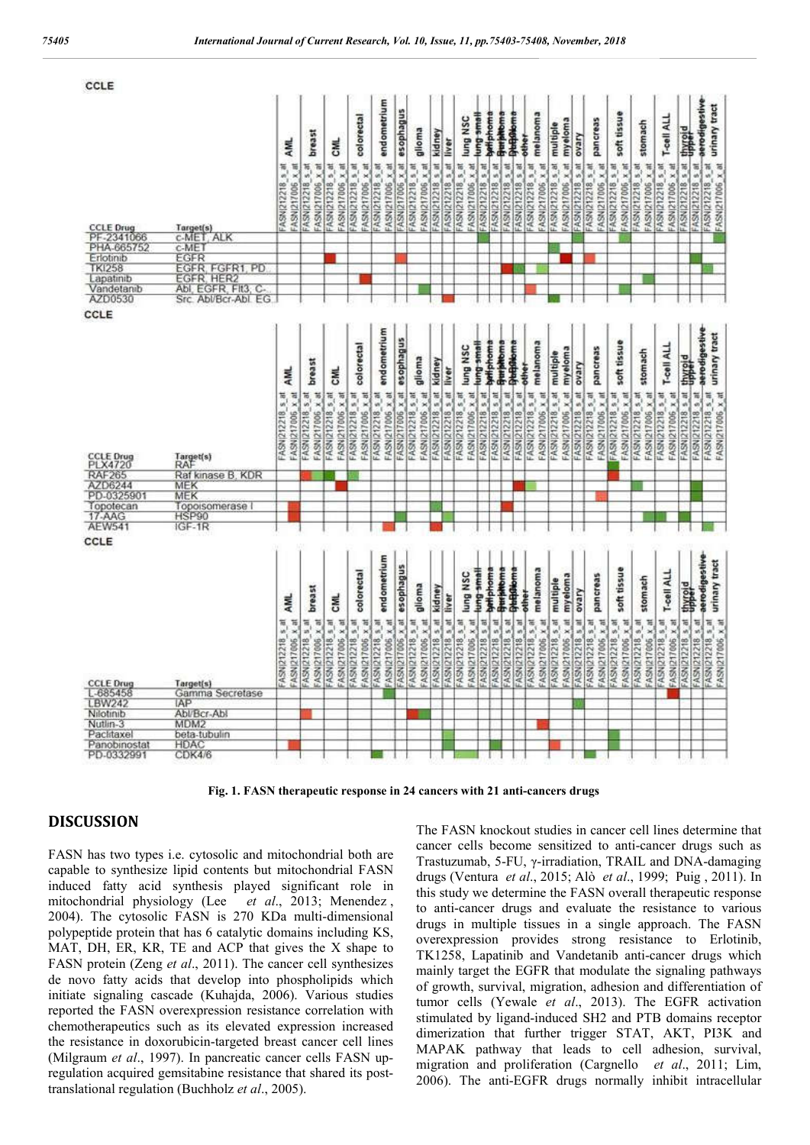| CCLE                                         |                                              |                                      |                                      |                                      |                                      |                                      |                            |                                      |                         |                        |                                      |                                      |                   |                                        |                  |                                      |                                      |                  |                        |                                      |                  |                  |                                      |                                      |                                 |                                       |
|----------------------------------------------|----------------------------------------------|--------------------------------------|--------------------------------------|--------------------------------------|--------------------------------------|--------------------------------------|----------------------------|--------------------------------------|-------------------------|------------------------|--------------------------------------|--------------------------------------|-------------------|----------------------------------------|------------------|--------------------------------------|--------------------------------------|------------------|------------------------|--------------------------------------|------------------|------------------|--------------------------------------|--------------------------------------|---------------------------------|---------------------------------------|
|                                              |                                              | AML.                                 | preast                               | 통                                    | colorectal                           | endometrium                          | FASNI217006 x at esophagus | glioma                               | FASN(212218 s_at kidney | FASNI212218 s at liver | lung NSC                             | Hemg small                           | bett phome        | <b>Gurbitoma</b><br><b>DieBalema</b>   | other            | melanoma                             | multiple                             | myeloma          | ovary                  | pancreas                             |                  | soft tissue      | stomach                              | T-cell ALL                           | FASNI212218 s_at thyroid        | oviteatipeave<br>urinary tract        |
|                                              |                                              | FASN(217006 x at<br>FASNIZ12218_s_at |                                      | FASN(212218_s_at<br>FASN(217006 x_at | FASN(217006 x at<br>FASNI212218_s_at | FASN(217006 x at<br>FASN(212218_s_at |                            | FASN(217006_x_at<br>FASNI212218_s_at |                         |                        | FASN(212218_s_at<br>FASN(217006_x_at | FASN(212218 s at                     | FASN(212218 s. at | FASNI212218 s at                       | FASN(212218 s at | FASN(212218_s_at                     | FASN(212218_s_at<br>FASNI217006_x_at | FASN(217006 x at | FASN(212218 s.m.       | FASN(217006 x at<br>FASN(212218_s_nt | FASNI212218_s_at | FASNI217006_x_at | FASN(217006 x at<br>FASN(212218_s_at | PASNI212218_s_at<br>FASNI217006 x at |                                 | FASNIZ12218 s.at<br>FASN(212218_s_at  |
|                                              |                                              |                                      | FASNI217086 x at<br>FASN(212218_s_at |                                      |                                      |                                      |                            |                                      |                         |                        |                                      |                                      |                   |                                        |                  |                                      |                                      |                  |                        |                                      |                  |                  |                                      |                                      |                                 |                                       |
|                                              |                                              |                                      |                                      |                                      |                                      |                                      |                            |                                      |                         |                        |                                      |                                      |                   |                                        |                  |                                      |                                      |                  |                        |                                      |                  |                  |                                      |                                      |                                 |                                       |
|                                              |                                              |                                      |                                      |                                      |                                      |                                      |                            |                                      |                         |                        |                                      |                                      |                   |                                        |                  |                                      |                                      |                  |                        |                                      |                  |                  |                                      |                                      |                                 |                                       |
| CCLE Drug<br>PF-2341066<br>PHA-665752        | Target(s)<br>C-MET, ALK                      |                                      |                                      |                                      |                                      |                                      |                            |                                      |                         |                        |                                      |                                      |                   |                                        |                  |                                      |                                      |                  |                        |                                      |                  |                  |                                      |                                      |                                 |                                       |
| Erlotinib                                    | C-MET<br>EGFR<br>EGFR, FGFR1<br>EGFR, HER2   |                                      |                                      |                                      |                                      |                                      |                            |                                      |                         |                        |                                      |                                      |                   |                                        |                  |                                      |                                      |                  |                        |                                      |                  |                  |                                      |                                      |                                 |                                       |
| TKI258<br>Lapatinib<br>Vandetanib<br>AZD0530 | PD                                           |                                      |                                      |                                      |                                      |                                      |                            |                                      |                         |                        |                                      |                                      |                   |                                        |                  |                                      |                                      |                  |                        |                                      |                  |                  |                                      |                                      |                                 |                                       |
|                                              |                                              |                                      |                                      |                                      |                                      |                                      |                            |                                      |                         |                        |                                      |                                      |                   |                                        |                  |                                      |                                      |                  |                        |                                      |                  |                  |                                      |                                      |                                 |                                       |
|                                              | Abl, EGFR, FIt3, C-<br>Src. Abl/Bcr-Abl. EG. |                                      |                                      |                                      |                                      |                                      |                            |                                      |                         |                        |                                      |                                      |                   |                                        |                  |                                      |                                      |                  |                        |                                      |                  |                  |                                      |                                      |                                 |                                       |
| CCLE                                         |                                              |                                      |                                      |                                      |                                      |                                      |                            |                                      |                         |                        |                                      |                                      |                   |                                        |                  |                                      |                                      |                  |                        |                                      |                  |                  |                                      |                                      |                                 |                                       |
|                                              |                                              |                                      |                                      |                                      |                                      |                                      |                            |                                      |                         |                        |                                      |                                      |                   |                                        |                  |                                      |                                      |                  |                        |                                      |                  |                  |                                      |                                      |                                 |                                       |
|                                              |                                              |                                      |                                      |                                      |                                      | endometrium                          |                            |                                      |                         |                        |                                      |                                      |                   |                                        |                  |                                      |                                      |                  |                        |                                      |                  |                  |                                      |                                      |                                 | aerodigestive<br>urinary tract        |
|                                              |                                              |                                      |                                      |                                      | colorectal                           |                                      | FASNI217006 x at esophagus |                                      |                         |                        | lung NSC                             | Heme Bun                             | whphoms           | <b>Dieftütioma</b><br><b>Templetom</b> |                  | melanoma                             |                                      | myeloma          |                        | panereas                             |                  | soft tissue      | stomach                              | T-cell ALL                           |                                 |                                       |
|                                              |                                              | AML                                  | breast                               | 통                                    |                                      |                                      |                            | glioma                               |                         |                        |                                      |                                      |                   |                                        | <b>Tellet</b>    |                                      | multiple                             |                  |                        |                                      |                  |                  |                                      |                                      |                                 |                                       |
|                                              |                                              |                                      |                                      |                                      |                                      |                                      |                            |                                      |                         |                        |                                      |                                      |                   |                                        |                  |                                      |                                      |                  |                        |                                      |                  |                  |                                      |                                      |                                 |                                       |
|                                              |                                              |                                      |                                      |                                      |                                      |                                      |                            |                                      |                         |                        |                                      |                                      |                   |                                        |                  |                                      |                                      |                  |                        |                                      |                  |                  |                                      |                                      |                                 |                                       |
|                                              |                                              |                                      |                                      |                                      |                                      |                                      |                            |                                      |                         |                        |                                      |                                      |                   |                                        |                  |                                      |                                      |                  |                        |                                      |                  |                  |                                      |                                      |                                 |                                       |
|                                              |                                              |                                      |                                      |                                      |                                      |                                      |                            |                                      |                         |                        |                                      |                                      |                   |                                        |                  |                                      |                                      |                  |                        |                                      |                  |                  |                                      |                                      |                                 |                                       |
|                                              |                                              | FASNI212218_s_at<br>FASNI217006 x at | FASN(212218_s_at<br>FASN 217006 x at | FASNI217006 x at<br>FASN(212218_s_at | FASN(217006 x at<br>FASN(212218_s_at | FASN(217006 x at<br>FASNIZ12218_s_at |                            | FASNI217006 x at<br>FASNI212218_s_at | FASN(212218 s at Kidney | FASNIZ12218 s at liver | FASN 217006 x at<br>FASNI212218_s_nt | FASN(212218 s at                     | FASN(212218 s. at | FASNI212218_s_at                       | FASN(212218 s at | FASN(212218_s_at<br>FASNI217006 x at | FASN(212218_s_at                     | FASNI217006 x at | FASN(212218 s_at ovary | FASN(217006 x at<br>FASN(212218_s_at | FASN(212218_s_at | FASN(217006 x at | FASNI217006 x at<br>FASN(212218_s_at | FASN(212218_s_at<br>FASN(217006 x at | <b>FASNI212218 s.at thyroid</b> | FASN(212218 s.at<br>FASN(212218_s_at  |
| CCLE Drug<br>PLX4720<br>RAF265<br>AZD6244    | Target(s)<br>RAF                             |                                      |                                      |                                      |                                      |                                      |                            |                                      |                         |                        |                                      |                                      |                   |                                        |                  |                                      |                                      |                  |                        |                                      |                  |                  |                                      |                                      |                                 |                                       |
|                                              | Raf kinase B. KDR                            |                                      |                                      |                                      |                                      |                                      |                            |                                      |                         |                        |                                      |                                      |                   |                                        |                  |                                      |                                      |                  |                        |                                      |                  |                  |                                      |                                      |                                 |                                       |
|                                              | MEK                                          |                                      |                                      |                                      |                                      |                                      |                            |                                      |                         |                        |                                      |                                      |                   |                                        |                  |                                      |                                      |                  |                        |                                      |                  |                  |                                      |                                      |                                 |                                       |
| PD-0325901                                   | MEK                                          |                                      |                                      |                                      |                                      |                                      |                            |                                      |                         |                        |                                      |                                      |                   |                                        |                  |                                      |                                      |                  |                        |                                      |                  |                  |                                      |                                      |                                 |                                       |
| Topotecan<br>17-AAG<br>AEW541                | Topoisomerase<br>HSP90<br>IGF-1R             |                                      |                                      |                                      |                                      |                                      |                            |                                      |                         |                        |                                      |                                      |                   |                                        |                  |                                      |                                      |                  |                        |                                      |                  |                  |                                      |                                      |                                 |                                       |
|                                              |                                              |                                      |                                      |                                      |                                      |                                      |                            |                                      |                         |                        |                                      |                                      |                   |                                        |                  |                                      |                                      |                  |                        |                                      |                  |                  |                                      |                                      |                                 |                                       |
| CCLE                                         |                                              |                                      |                                      |                                      |                                      |                                      |                            |                                      |                         |                        |                                      |                                      |                   |                                        |                  |                                      |                                      |                  |                        |                                      |                  |                  |                                      |                                      |                                 |                                       |
|                                              |                                              |                                      |                                      |                                      |                                      |                                      |                            |                                      |                         |                        |                                      |                                      |                   |                                        |                  |                                      |                                      |                  |                        |                                      |                  |                  |                                      |                                      |                                 |                                       |
|                                              |                                              |                                      |                                      |                                      |                                      | endometrium                          | FASNI217006 x at esophagus |                                      |                         |                        |                                      |                                      |                   |                                        | <b>Philadema</b> |                                      |                                      |                  |                        |                                      |                  |                  |                                      |                                      |                                 | aerodigestive<br>urinary tract        |
|                                              |                                              |                                      |                                      |                                      | colorectal                           |                                      |                            |                                      |                         |                        | lung NSC                             | Hemg small                           | bett phome        | <b>General Media</b>                   |                  | melanoma                             | multiple                             | myeloma          |                        | pancreas                             |                  | soft tissue      | stomach                              | T-cell ALL                           | FASNIZ12218 5 at thyroid        |                                       |
|                                              |                                              | <b>AML</b>                           | breast                               | 통                                    |                                      |                                      |                            | glioma                               | FASN(212218 s at kidney | FASN(212218 s_at liver |                                      |                                      |                   |                                        | other            |                                      |                                      |                  | FASN212218 s_at ovary  |                                      |                  |                  |                                      |                                      |                                 |                                       |
|                                              |                                              |                                      |                                      |                                      |                                      |                                      |                            |                                      |                         |                        |                                      |                                      |                   |                                        |                  |                                      |                                      |                  |                        |                                      |                  |                  |                                      |                                      |                                 |                                       |
|                                              |                                              |                                      |                                      |                                      |                                      |                                      |                            |                                      |                         |                        |                                      |                                      |                   |                                        |                  |                                      |                                      |                  |                        |                                      |                  |                  |                                      |                                      |                                 |                                       |
|                                              |                                              |                                      |                                      |                                      |                                      |                                      |                            |                                      |                         |                        |                                      |                                      |                   |                                        |                  |                                      |                                      |                  |                        |                                      |                  |                  |                                      |                                      |                                 |                                       |
|                                              |                                              |                                      |                                      |                                      |                                      |                                      |                            |                                      |                         |                        |                                      |                                      |                   |                                        |                  |                                      |                                      |                  |                        |                                      |                  |                  |                                      |                                      |                                 |                                       |
|                                              |                                              | FASNI217006 x_at<br>FASN(212218_s_at | FASN(212218_5_M<br>FASNI217006 x at  | FASN(212218_s_at<br>FASN(217006_x_at | FASNI217006 x at<br>FASN(212218_s_at | FASNI217006 x at<br>FASNI212218_s_at |                            | FASNI217006 x_at<br>FASNI212218_s_it |                         |                        | FASNI212218_s_at                     | FASN(212218 s at<br>FASNI217006 x at | FASN(212218 s_ill | FASN(212218_s_at                       | FASNI212218 s_at | FASN(212218_s_at                     | FASNI212218_5_at<br>FASN(217006_x_at | FASNI217006 x at |                        | FASNI217006 x_at<br>FASN(212218_s_at | FASN(212218_s_at | FASN(217006 x at | FASNI217006 x at<br>FASN(212218_s_at | FASN(212218_s_at<br>FASN(217006_x_at |                                 | FASNI212218 s. at<br>FASN(212218_s_at |
| CCLE Drug<br>L-685458<br>LBW242              | Target(s)<br>Gamma Secretase                 |                                      |                                      |                                      |                                      |                                      |                            |                                      |                         |                        |                                      |                                      |                   |                                        |                  |                                      |                                      |                  |                        |                                      |                  |                  |                                      |                                      |                                 |                                       |
|                                              | <b>IAP</b>                                   |                                      |                                      |                                      |                                      |                                      |                            |                                      |                         |                        |                                      |                                      |                   |                                        |                  |                                      |                                      |                  |                        |                                      |                  |                  |                                      |                                      |                                 |                                       |
| Nilotinib                                    | Abl/Bcr-Abl                                  |                                      |                                      |                                      |                                      |                                      |                            |                                      |                         |                        |                                      |                                      |                   |                                        |                  |                                      |                                      |                  |                        |                                      |                  |                  |                                      |                                      |                                 |                                       |
| Nutlin-3<br>Paclitaxel                       | MDM2                                         |                                      |                                      |                                      |                                      |                                      |                            |                                      |                         |                        |                                      |                                      |                   |                                        |                  |                                      |                                      |                  |                        |                                      |                  |                  |                                      |                                      |                                 |                                       |
| Panobinostat                                 | beta-tubulin<br><b>HDAC</b>                  |                                      |                                      |                                      |                                      |                                      |                            |                                      |                         |                        |                                      |                                      |                   |                                        |                  |                                      |                                      |                  |                        |                                      |                  |                  |                                      |                                      |                                 |                                       |
| PD-0332991                                   | CDK4/6                                       |                                      |                                      |                                      |                                      |                                      |                            |                                      |                         |                        |                                      |                                      |                   |                                        |                  |                                      |                                      |                  |                        |                                      |                  |                  |                                      |                                      |                                 |                                       |

**Fig. 1. FASN therapeutic response in 24 cancers with 21 anti-cancers drugs**

#### **DISCUSSION**

FASN has two types i.e. cytosolic and mitochondrial both are capable to synthesize lipid contents but mitochondrial FASN induced fatty acid synthesis played significant role in mitochondrial physiology (Lee *et al*., 2013; Menendez , 2004). The cytosolic FASN is 270 KDa multi-dimensional polypeptide protein that has 6 catalytic domains including KS, MAT, DH, ER, KR, TE and ACP that gives the X shape to FASN protein (Zeng *et al*., 2011). The cancer cell synthesizes de novo fatty acids that develop into phospholipids which initiate signaling cascade (Kuhajda, 2006). Various studies reported the FASN overexpression resistance correlation with chemotherapeutics such as its elevated expression increased the resistance in doxorubicin-targeted breast cancer cell lines (Milgraum *et al*., 1997). In pancreatic cancer cells FASN upregulation acquired gemsitabine resistance that shared its posttranslational regulation (Buchholz *et al*., 2005).

The FASN knockout studies in cancer cell lines determine that cancer cells become sensitized to anti-cancer drugs such as Trastuzumab, 5-FU, γ-irradiation, TRAIL and DNA-damaging drugs (Ventura *et al*., 2015; Alò *et al*., 1999; Puig , 2011). In this study we determine the FASN overall therapeutic response to anti-cancer drugs and evaluate the resistance to various drugs in multiple tissues in a single approach. The FASN overexpression provides strong resistance to Erlotinib, TK1258, Lapatinib and Vandetanib anti-cancer drugs which mainly target the EGFR that modulate the signaling pathways of growth, survival, migration, adhesion and differentiation of tumor cells (Yewale *et al*., 2013). The EGFR activation stimulated by ligand-induced SH2 and PTB domains receptor dimerization that further trigger STAT, AKT, PI3K and MAPAK pathway that leads to cell adhesion, survival, migration and proliferation (Cargnello *et al*., 2011; Lim, 2006). The anti-EGFR drugs normally inhibit intracellular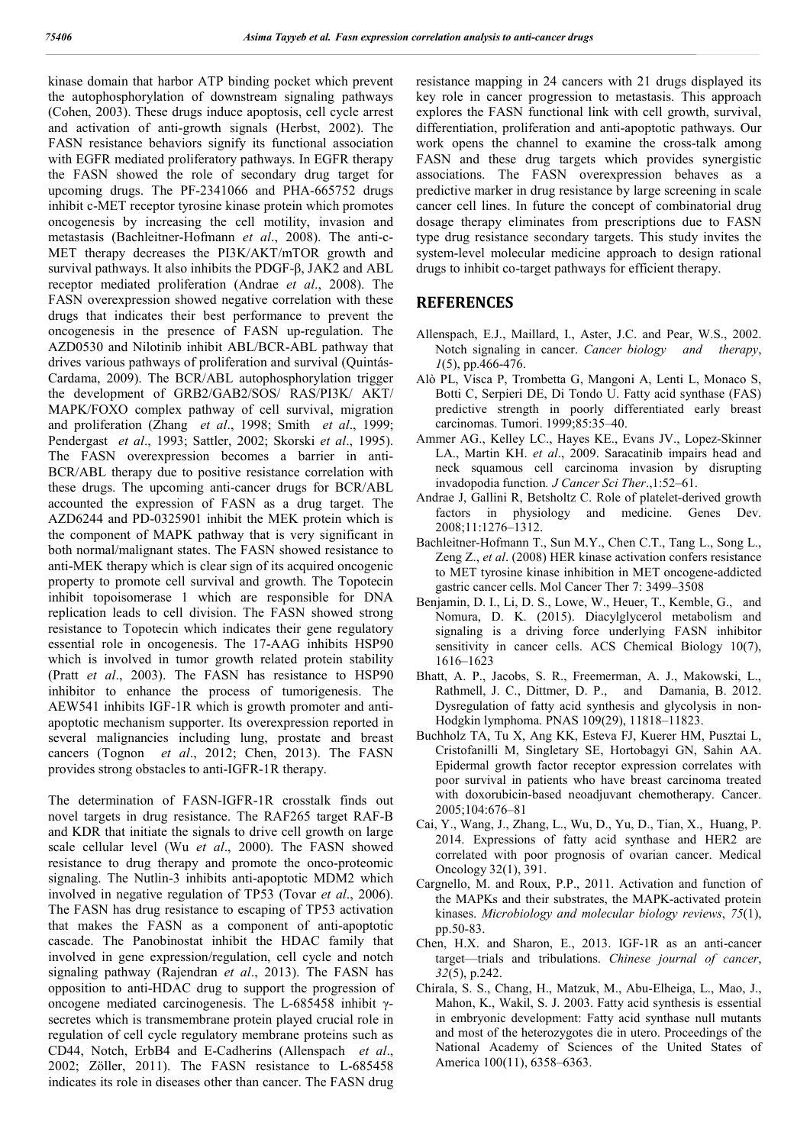kinase domain that harbor ATP binding pocket which prevent the autophosphorylation of downstream signaling pathways (Cohen, 2003). These drugs induce apoptosis, cell cycle arrest and activation of anti-growth signals (Herbst, 2002). The FASN resistance behaviors signify its functional association with EGFR mediated proliferatory pathways. In EGFR therapy the FASN showed the role of secondary drug target for upcoming drugs. The PF-2341066 and PHA-665752 drugs inhibit c-MET receptor tyrosine kinase protein which promotes oncogenesis by increasing the cell motility, invasion and metastasis (Bachleitner-Hofmann *et al*., 2008). The anti-c-MET therapy decreases the PI3K/AKT/mTOR growth and survival pathways. It also inhibits the PDGF-β, JAK2 and ABL receptor mediated proliferation (Andrae *et al*., 2008). The FASN overexpression showed negative correlation with these drugs that indicates their best performance to prevent the oncogenesis in the presence of FASN up-regulation. The AZD0530 and Nilotinib inhibit ABL/BCR-ABL pathway that drives various pathways of proliferation and survival (Quintás-Cardama, 2009). The BCR/ABL autophosphorylation trigger the development of GRB2/GAB2/SOS/ RAS/PI3K/ AKT/ MAPK/FOXO complex pathway of cell survival, migration and proliferation (Zhang *et al*., 1998; Smith *et al*., 1999; Pendergast *et al*., 1993; Sattler, 2002; Skorski *et al*., 1995). The FASN overexpression becomes a barrier in anti-BCR/ABL therapy due to positive resistance correlation with these drugs. The upcoming anti-cancer drugs for BCR/ABL accounted the expression of FASN as a drug target. The AZD6244 and PD-0325901 inhibit the MEK protein which is the component of MAPK pathway that is very significant in both normal/malignant states. The FASN showed resistance to anti-MEK therapy which is clear sign of its acquired oncogenic property to promote cell survival and growth. The Topotecin inhibit topoisomerase 1 which are responsible for DNA replication leads to cell division. The FASN showed strong resistance to Topotecin which indicates their gene regulatory essential role in oncogenesis. The 17-AAG inhibits HSP90 which is involved in tumor growth related protein stability (Pratt *et al*., 2003). The FASN has resistance to HSP90 inhibitor to enhance the process of tumorigenesis. The AEW541 inhibits IGF-1R which is growth promoter and antiapoptotic mechanism supporter. Its overexpression reported in several malignancies including lung, prostate and breast cancers (Tognon *et al*., 2012; Chen, 2013). The FASN provides strong obstacles to anti-IGFR-1R therapy.

The determination of FASN-IGFR-1R crosstalk finds out novel targets in drug resistance. The RAF265 target RAF-B and KDR that initiate the signals to drive cell growth on large scale cellular level (Wu *et al*., 2000). The FASN showed resistance to drug therapy and promote the onco-proteomic signaling. The Nutlin-3 inhibits anti-apoptotic MDM2 which involved in negative regulation of TP53 (Tovar *et al*., 2006). The FASN has drug resistance to escaping of TP53 activation that makes the FASN as a component of anti-apoptotic cascade. The Panobinostat inhibit the HDAC family that involved in gene expression/regulation, cell cycle and notch signaling pathway (Rajendran *et al*., 2013). The FASN has opposition to anti-HDAC drug to support the progression of oncogene mediated carcinogenesis. The L-685458 inhibit γsecretes which is transmembrane protein played crucial role in regulation of cell cycle regulatory membrane proteins such as CD44, Notch, ErbB4 and E-Cadherins (Allenspach *et al*., 2002; Zöller, 2011). The FASN resistance to L-685458 indicates its role in diseases other than cancer. The FASN drug

resistance mapping in 24 cancers with 21 drugs displayed its key role in cancer progression to metastasis. This approach explores the FASN functional link with cell growth, survival, differentiation, proliferation and anti-apoptotic pathways. Our work opens the channel to examine the cross-talk among FASN and these drug targets which provides synergistic associations. The FASN overexpression behaves as a predictive marker in drug resistance by large screening in scale cancer cell lines. In future the concept of combinatorial drug dosage therapy eliminates from prescriptions due to FASN type drug resistance secondary targets. This study invites the system-level molecular medicine approach to design rational drugs to inhibit co-target pathways for efficient therapy.

#### **REFERENCES**

- Allenspach, E.J., Maillard, I., Aster, J.C. and Pear, W.S., 2002. Notch signaling in cancer. *Cancer biology and therapy*, *1*(5), pp.466-476.
- Alò PL, Visca P, Trombetta G, Mangoni A, Lenti L, Monaco S, Botti C, Serpieri DE, Di Tondo U. Fatty acid synthase (FAS) predictive strength in poorly differentiated early breast carcinomas. Tumori. 1999;85:35–40.
- Ammer AG., Kelley LC., Hayes KE., Evans JV., Lopez-Skinner LA., Martin KH. *et al*., 2009. Saracatinib impairs head and neck squamous cell carcinoma invasion by disrupting invadopodia function*. J Cancer Sci Ther*.,1:52–61.
- Andrae J, Gallini R, Betsholtz C. Role of platelet-derived growth factors in physiology and medicine. Genes Dev. 2008;11:1276–1312.
- Bachleitner-Hofmann T., Sun M.Y., Chen C.T., Tang L., Song L., Zeng Z., *et al*. (2008) HER kinase activation confers resistance to MET tyrosine kinase inhibition in MET oncogene-addicted gastric cancer cells. Mol Cancer Ther 7: 3499–3508
- Benjamin, D. I., Li, D. S., Lowe, W., Heuer, T., Kemble, G., and Nomura, D. K. (2015). Diacylglycerol metabolism and signaling is a driving force underlying FASN inhibitor sensitivity in cancer cells. ACS Chemical Biology 10(7), 1616–1623
- Bhatt, A. P., Jacobs, S. R., Freemerman, A. J., Makowski, L., Rathmell, J. C., Dittmer, D. P., and Damania, B. 2012. Dysregulation of fatty acid synthesis and glycolysis in non-Hodgkin lymphoma. PNAS 109(29), 11818–11823.
- Buchholz TA, Tu X, Ang KK, Esteva FJ, Kuerer HM, Pusztai L, Cristofanilli M, Singletary SE, Hortobagyi GN, Sahin AA. Epidermal growth factor receptor expression correlates with poor survival in patients who have breast carcinoma treated with doxorubicin-based neoadjuvant chemotherapy. Cancer. 2005;104:676–81
- Cai, Y., Wang, J., Zhang, L., Wu, D., Yu, D., Tian, X., Huang, P. 2014. Expressions of fatty acid synthase and HER2 are correlated with poor prognosis of ovarian cancer. Medical Oncology 32(1), 391.
- Cargnello, M. and Roux, P.P., 2011. Activation and function of the MAPKs and their substrates, the MAPK-activated protein kinases. *Microbiology and molecular biology reviews*, *75*(1), pp.50-83.
- Chen, H.X. and Sharon, E., 2013. IGF-1R as an anti-cancer target—trials and tribulations. *Chinese journal of cancer*, *32*(5), p.242.
- Chirala, S. S., Chang, H., Matzuk, M., Abu-Elheiga, L., Mao, J., Mahon, K., Wakil, S. J. 2003. Fatty acid synthesis is essential in embryonic development: Fatty acid synthase null mutants and most of the heterozygotes die in utero. Proceedings of the National Academy of Sciences of the United States of America 100(11), 6358–6363.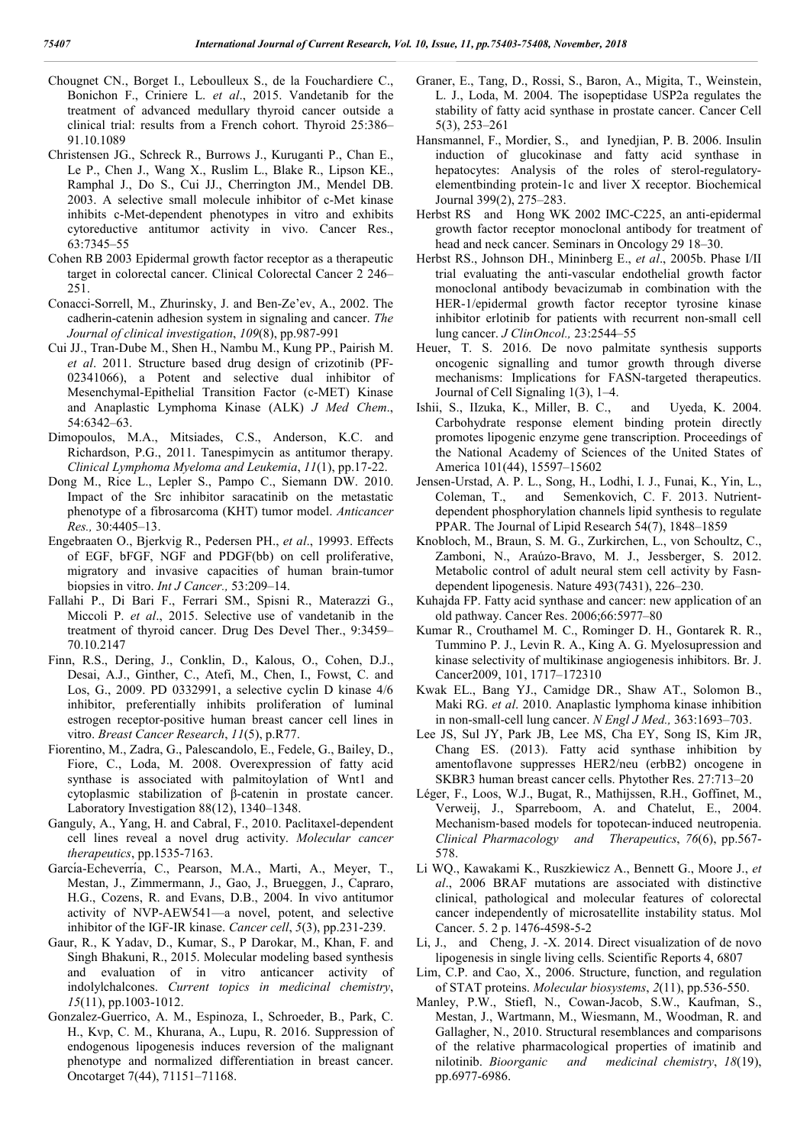- Chougnet CN., Borget I., Leboulleux S., de la Fouchardiere C., Bonichon F., Criniere L. *et al*., 2015. Vandetanib for the treatment of advanced medullary thyroid cancer outside a clinical trial: results from a French cohort. Thyroid 25:386– 91.10.1089
- Christensen JG., Schreck R., Burrows J., Kuruganti P., Chan E., Le P., Chen J., Wang X., Ruslim L., Blake R., Lipson KE., Ramphal J., Do S., Cui JJ., Cherrington JM., Mendel DB. 2003. A selective small molecule inhibitor of c-Met kinase inhibits c-Met-dependent phenotypes in vitro and exhibits cytoreductive antitumor activity in vivo. Cancer Res., 63:7345–55
- Cohen RB 2003 Epidermal growth factor receptor as a therapeutic target in colorectal cancer. Clinical Colorectal Cancer 2 246– 251.
- Conacci-Sorrell, M., Zhurinsky, J. and Ben-Ze'ev, A., 2002. The cadherin-catenin adhesion system in signaling and cancer. *The Journal of clinical investigation*, *109*(8), pp.987-991
- Cui JJ., Tran-Dube M., Shen H., Nambu M., Kung PP., Pairish M. *et al*. 2011. Structure based drug design of crizotinib (PF-02341066), a Potent and selective dual inhibitor of Mesenchymal-Epithelial Transition Factor (c-MET) Kinase and Anaplastic Lymphoma Kinase (ALK) *J Med Chem*., 54:6342–63.
- Dimopoulos, M.A., Mitsiades, C.S., Anderson, K.C. and Richardson, P.G., 2011. Tanespimycin as antitumor therapy. *Clinical Lymphoma Myeloma and Leukemia*, *11*(1), pp.17-22.
- Dong M., Rice L., Lepler S., Pampo C., Siemann DW. 2010. Impact of the Src inhibitor saracatinib on the metastatic phenotype of a fibrosarcoma (KHT) tumor model. *Anticancer Res.,* 30:4405–13.
- Engebraaten O., Bjerkvig R., Pedersen PH., *et al*., 19993. Effects of EGF, bFGF, NGF and PDGF(bb) on cell proliferative, migratory and invasive capacities of human brain-tumor biopsies in vitro. *Int J Cancer.,* 53:209–14.
- Fallahi P., Di Bari F., Ferrari SM., Spisni R., Materazzi G., Miccoli P. *et al*., 2015. Selective use of vandetanib in the treatment of thyroid cancer. Drug Des Devel Ther., 9:3459– 70.10.2147
- Finn, R.S., Dering, J., Conklin, D., Kalous, O., Cohen, D.J., Desai, A.J., Ginther, C., Atefi, M., Chen, I., Fowst, C. and Los, G., 2009. PD 0332991, a selective cyclin D kinase 4/6 inhibitor, preferentially inhibits proliferation of luminal estrogen receptor-positive human breast cancer cell lines in vitro. *Breast Cancer Research*, *11*(5), p.R77.
- Fiorentino, M., Zadra, G., Palescandolo, E., Fedele, G., Bailey, D., Fiore, C., Loda, M. 2008. Overexpression of fatty acid synthase is associated with palmitoylation of Wnt1 and cytoplasmic stabilization of β-catenin in prostate cancer. Laboratory Investigation 88(12), 1340–1348.
- Ganguly, A., Yang, H. and Cabral, F., 2010. Paclitaxel-dependent cell lines reveal a novel drug activity. *Molecular cancer therapeutics*, pp.1535-7163.
- García-Echeverría, C., Pearson, M.A., Marti, A., Meyer, T., Mestan, J., Zimmermann, J., Gao, J., Brueggen, J., Capraro, H.G., Cozens, R. and Evans, D.B., 2004. In vivo antitumor activity of NVP-AEW541—a novel, potent, and selective inhibitor of the IGF-IR kinase. *Cancer cell*, *5*(3), pp.231-239.
- Gaur, R., K Yadav, D., Kumar, S., P Darokar, M., Khan, F. and Singh Bhakuni, R., 2015. Molecular modeling based synthesis and evaluation of in vitro anticancer activity of indolylchalcones. *Current topics in medicinal chemistry*, *15*(11), pp.1003-1012.
- Gonzalez-Guerrico, A. M., Espinoza, I., Schroeder, B., Park, C. H., Kvp, C. M., Khurana, A., Lupu, R. 2016. Suppression of endogenous lipogenesis induces reversion of the malignant phenotype and normalized differentiation in breast cancer. Oncotarget 7(44), 71151–71168.
- Graner, E., Tang, D., Rossi, S., Baron, A., Migita, T., Weinstein, L. J., Loda, M. 2004. The isopeptidase USP2a regulates the stability of fatty acid synthase in prostate cancer. Cancer Cell 5(3), 253–261
- Hansmannel, F., Mordier, S., and Iynedjian, P. B. 2006. Insulin induction of glucokinase and fatty acid synthase in hepatocytes: Analysis of the roles of sterol-regulatoryelementbinding protein-1c and liver X receptor. Biochemical Journal 399(2), 275–283.
- Herbst RS and Hong WK 2002 IMC-C225, an anti-epidermal growth factor receptor monoclonal antibody for treatment of head and neck cancer. Seminars in Oncology 29 18–30.
- Herbst RS., Johnson DH., Mininberg E., *et al*., 2005b. Phase I/II trial evaluating the anti-vascular endothelial growth factor monoclonal antibody bevacizumab in combination with the HER-1/epidermal growth factor receptor tyrosine kinase inhibitor erlotinib for patients with recurrent non-small cell lung cancer. *J ClinOncol.,* 23:2544–55
- Heuer, T. S. 2016. De novo palmitate synthesis supports oncogenic signalling and tumor growth through diverse mechanisms: Implications for FASN-targeted therapeutics. Journal of Cell Signaling 1(3), 1–4.
- Ishii, S., IIzuka, K., Miller, B. C., and Uyeda, K. 2004. Carbohydrate response element binding protein directly promotes lipogenic enzyme gene transcription. Proceedings of the National Academy of Sciences of the United States of America 101(44), 15597–15602
- Jensen-Urstad, A. P. L., Song, H., Lodhi, I. J., Funai, K., Yin, L., Coleman, T., and Semenkovich, C. F. 2013. Nutrientdependent phosphorylation channels lipid synthesis to regulate PPAR. The Journal of Lipid Research 54(7), 1848–1859
- Knobloch, M., Braun, S. M. G., Zurkirchen, L., von Schoultz, C., Zamboni, N., Araúzo-Bravo, M. J., Jessberger, S. 2012. Metabolic control of adult neural stem cell activity by Fasndependent lipogenesis. Nature 493(7431), 226–230.
- Kuhajda FP. Fatty acid synthase and cancer: new application of an old pathway. Cancer Res. 2006;66:5977–80
- Kumar R., Crouthamel M. C., Rominger D. H., Gontarek R. R., Tummino P. J., Levin R. A., King A. G. Myelosupression and kinase selectivity of multikinase angiogenesis inhibitors. Br. J. Cancer2009, 101, 1717–172310
- Kwak EL., Bang YJ., Camidge DR., Shaw AT., Solomon B., Maki RG. *et al*. 2010. Anaplastic lymphoma kinase inhibition in non-small-cell lung cancer. *N Engl J Med.,* 363:1693–703.
- Lee JS, Sul JY, Park JB, Lee MS, Cha EY, Song IS, Kim JR, Chang ES. (2013). Fatty acid synthase inhibition by amentoflavone suppresses HER2/neu (erbB2) oncogene in SKBR3 human breast cancer cells. Phytother Res. 27:713–20
- Léger, F., Loos, W.J., Bugat, R., Mathijssen, R.H., Goffinet, M., Verweij, J., Sparreboom, A. and Chatelut, E., 2004. Mechanism‐based models for topotecan‐induced neutropenia. *Clinical Pharmacology and Therapeutics*, *76*(6), pp.567- 578.
- Li WQ., Kawakami K., Ruszkiewicz A., Bennett G., Moore J., *et al*., 2006 BRAF mutations are associated with distinctive clinical, pathological and molecular features of colorectal cancer independently of microsatellite instability status. Mol Cancer. 5. 2 p. 1476-4598-5-2
- Li, J., and Cheng, J. -X. 2014. Direct visualization of de novo lipogenesis in single living cells. Scientific Reports 4, 6807
- Lim, C.P. and Cao, X., 2006. Structure, function, and regulation of STAT proteins. *Molecular biosystems*, *2*(11), pp.536-550.
- Manley, P.W., Stiefl, N., Cowan-Jacob, S.W., Kaufman, S., Mestan, J., Wartmann, M., Wiesmann, M., Woodman, R. and Gallagher, N., 2010. Structural resemblances and comparisons of the relative pharmacological properties of imatinib and nilotinib. *Bioorganic and medicinal chemistry*, *18*(19), pp.6977-6986.